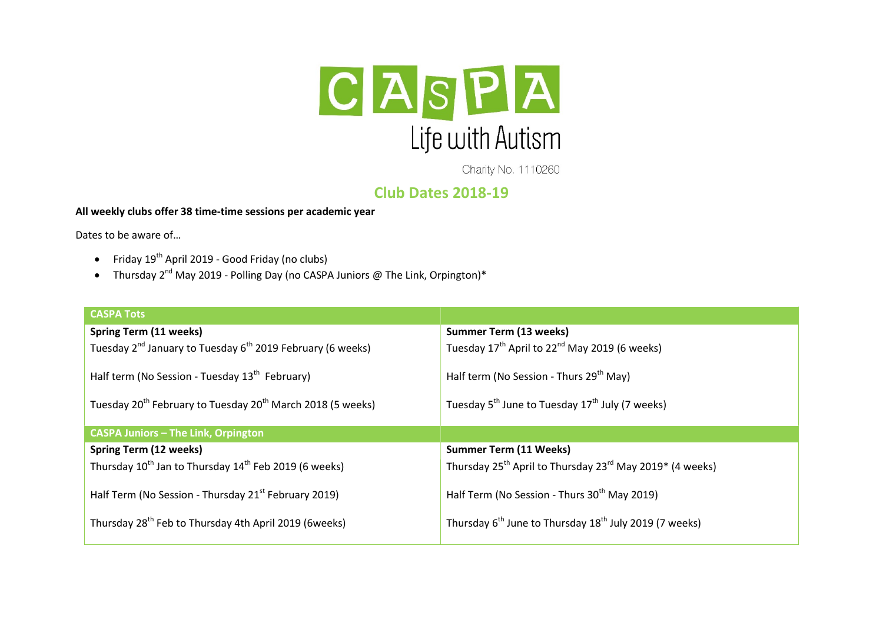

Charity No. 1110260

## Club Dates 2018-19

## All weekly clubs offer 38 time-time sessions per academic year

Dates to be aware of…

- Friday 19th April 2019 Good Friday (no clubs)
- Thursday  $2^{nd}$  May 2019 Polling Day (no CASPA Juniors @ The Link, Orpington)\*

| <b>CASPA Tots</b>                                                                  |                                                                                  |  |
|------------------------------------------------------------------------------------|----------------------------------------------------------------------------------|--|
| Spring Term (11 weeks)                                                             | <b>Summer Term (13 weeks)</b>                                                    |  |
| Tuesday 2 <sup>nd</sup> January to Tuesday 6 <sup>th</sup> 2019 February (6 weeks) | Tuesday $17^{th}$ April to $22^{nd}$ May 2019 (6 weeks)                          |  |
| Half term (No Session - Tuesday 13 <sup>th</sup> February)                         | Half term (No Session - Thurs 29 <sup>th</sup> May)                              |  |
| Tuesday 20 <sup>th</sup> February to Tuesday 20 <sup>th</sup> March 2018 (5 weeks) | Tuesday 5 <sup>th</sup> June to Tuesday 17 <sup>th</sup> July (7 weeks)          |  |
| <b>CASPA Juniors - The Link, Orpington</b>                                         |                                                                                  |  |
| Spring Term (12 weeks)                                                             | <b>Summer Term (11 Weeks)</b>                                                    |  |
| Thursday $10^{th}$ Jan to Thursday $14^{th}$ Feb 2019 (6 weeks)                    | Thursday 25 <sup>th</sup> April to Thursday 23 <sup>rd</sup> May 2019* (4 weeks) |  |
| Half Term (No Session - Thursday 21 <sup>st</sup> February 2019)                   | Half Term (No Session - Thurs 30 <sup>th</sup> May 2019)                         |  |
| Thursday 28 <sup>th</sup> Feb to Thursday 4th April 2019 (6weeks)                  | Thursday 6 <sup>th</sup> June to Thursday 18 <sup>th</sup> July 2019 (7 weeks)   |  |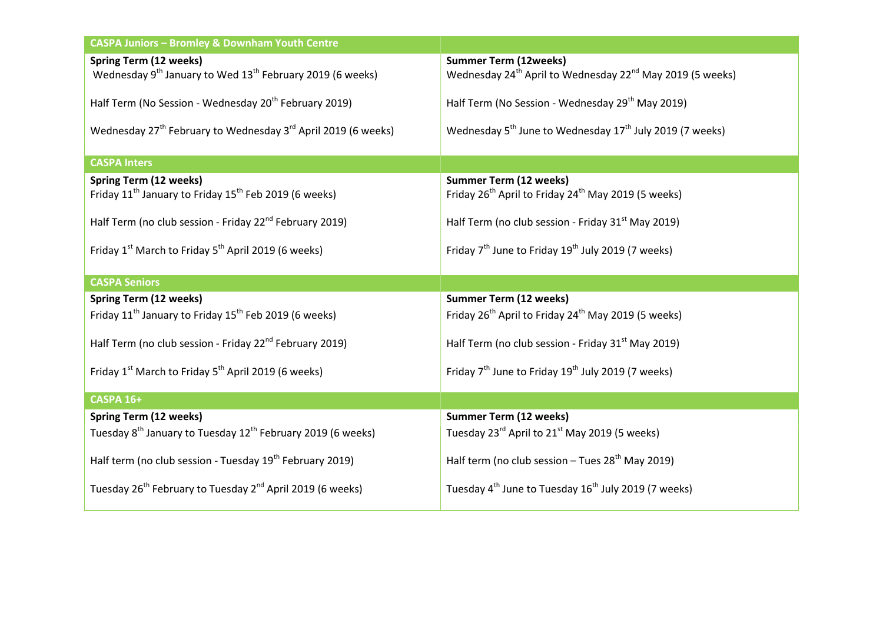| CASPA Juniors - Bromley & Downham Youth Centre                                                                     |                                                                                                                   |  |
|--------------------------------------------------------------------------------------------------------------------|-------------------------------------------------------------------------------------------------------------------|--|
| <b>Spring Term (12 weeks)</b><br>Wednesday 9 <sup>th</sup> January to Wed 13 <sup>th</sup> February 2019 (6 weeks) | <b>Summer Term (12weeks)</b><br>Wednesday 24 <sup>th</sup> April to Wednesday 22 <sup>nd</sup> May 2019 (5 weeks) |  |
| Half Term (No Session - Wednesday 20 <sup>th</sup> February 2019)                                                  | Half Term (No Session - Wednesday 29 <sup>th</sup> May 2019)                                                      |  |
| Wednesday 27 <sup>th</sup> February to Wednesday 3 <sup>rd</sup> April 2019 (6 weeks)                              | Wednesday 5 <sup>th</sup> June to Wednesday 17 <sup>th</sup> July 2019 (7 weeks)                                  |  |
| <b>CASPA Inters</b>                                                                                                |                                                                                                                   |  |
| <b>Spring Term (12 weeks)</b><br>Friday 11 <sup>th</sup> January to Friday 15 <sup>th</sup> Feb 2019 (6 weeks)     | <b>Summer Term (12 weeks)</b><br>Friday 26 <sup>th</sup> April to Friday 24 <sup>th</sup> May 2019 (5 weeks)      |  |
| Half Term (no club session - Friday 22 <sup>nd</sup> February 2019)                                                | Half Term (no club session - Friday 31 <sup>st</sup> May 2019)                                                    |  |
| Friday 1 <sup>st</sup> March to Friday 5 <sup>th</sup> April 2019 (6 weeks)                                        | Friday 7 <sup>th</sup> June to Friday 19 <sup>th</sup> July 2019 (7 weeks)                                        |  |
| <b>CASPA Seniors</b>                                                                                               |                                                                                                                   |  |
| <b>Spring Term (12 weeks)</b>                                                                                      | <b>Summer Term (12 weeks)</b>                                                                                     |  |
| Friday 11 <sup>th</sup> January to Friday 15 <sup>th</sup> Feb 2019 (6 weeks)                                      | Friday 26 <sup>th</sup> April to Friday 24 <sup>th</sup> May 2019 (5 weeks)                                       |  |
| Half Term (no club session - Friday 22 <sup>nd</sup> February 2019)                                                | Half Term (no club session - Friday 31 <sup>st</sup> May 2019)                                                    |  |
| Friday 1 <sup>st</sup> March to Friday 5 <sup>th</sup> April 2019 (6 weeks)                                        | Friday 7 <sup>th</sup> June to Friday 19 <sup>th</sup> July 2019 (7 weeks)                                        |  |
| <b>CASPA 16+</b>                                                                                                   |                                                                                                                   |  |
| <b>Spring Term (12 weeks)</b>                                                                                      | <b>Summer Term (12 weeks)</b>                                                                                     |  |
| Tuesday 8 <sup>th</sup> January to Tuesday 12 <sup>th</sup> February 2019 (6 weeks)                                | Tuesday 23 <sup>rd</sup> April to 21 <sup>st</sup> May 2019 (5 weeks)                                             |  |
| Half term (no club session - Tuesday 19 <sup>th</sup> February 2019)                                               | Half term (no club session $-$ Tues 28 <sup>th</sup> May 2019)                                                    |  |
| Tuesday 26 <sup>th</sup> February to Tuesday 2 <sup>nd</sup> April 2019 (6 weeks)                                  | Tuesday 4 <sup>th</sup> June to Tuesday 16 <sup>th</sup> July 2019 (7 weeks)                                      |  |